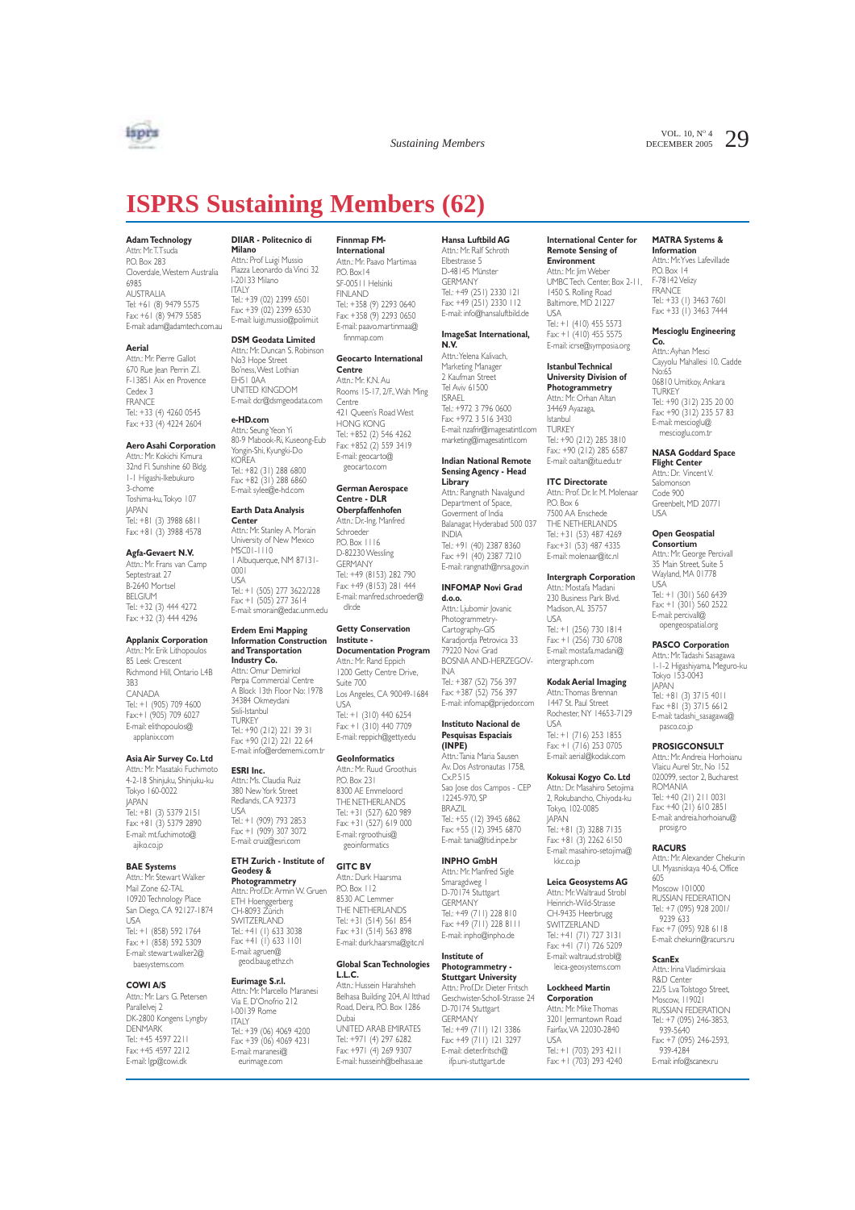

VOL. 10,  $N^{\circ}$  4 29

# **ISPRS Sustaining Members (62)**

#### **Adam Technology**

Attn: Mr.T.Tsuda P.O. Box 283 Cloverdale,Western Australia 6985 AUSTRALIA Tel: +61 (8) 9479 5575 Fax: +61 (8) 9479 5585 E-mail: adam@adamtech.com.au

#### **Aerial**

Attn.: Mr. Pierre Gallot 670 Rue Jean Perrin Z.I. F-13851 Aix en Provence Cedex 3 FRANCE Tel.: +33 (4) 4260 0545 Fax: +33 (4) 4224 2604

#### **Aero Asahi Corporation**

Attn.: Mr. Kokichi Kimura 32nd Fl. Sunshine 60 Bldg. 1-1 Higashi-Ikebukuro 3-chome Toshima-ku,Tokyo 107 JAPAN Tel.: +81 (3) 3988 6811 Fax: +81 (3) 3988 4578

#### **Agfa-Gevaert N.V.**

Attn.: Mr. Frans van Camp Septestraat 27 B-2640 Mortsel BELGIUM Tel.: +32 (3) 444 4272 Fax: +32 (3) 444 4296

#### **Applanix Corporation**

Attn.: Mr. Erik Lithopoulos 85 Leek Crescent Richmond Hill, Ontario L4B 3B3 CANADA Tel.: +1 (905) 709 4600 Fax:+1 (905) 709 6027 E-mail: elithopoulos@ applanix.com

#### **Asia Air Survey Co. Ltd**

Attn.: Mr. Masataki Fuchimoto 4-2-18 Shinjuku, Shinjuku-ku Tokyo 160-0022 JAPAN Tel.: +81 (3) 5379 2151 Fax: +81 (3) 5379 2890 E-mail: mt.fuchimoto@ ajiko.co.jp

#### **BAE Systems**

Attn.: Mr. Stewart Walker Mail Zone 62-TAL 10920 Technology Place San Diego, CA 92127-1874 USA Tel.: +1 (858) 592 1764 Fax: +1 (858) 592 5309 E-mail: stewart.walker2@ baesystems.com

#### **COWI A/S**

Attn.: Mr. Lars G. Petersen Parallelvej 2 DK-2800 Kongens Lyngby **DENMARK** Tel.: +45 4597 2211 Fax: +45 4597 2212 E-mail: lgp@cowi.dk

## **DIIAR - Politecnico di**

**Milano Minario**<br>Attn.: Prof Luigi Mussio Piazza Leonardo da Vinci 32 I-20133 Milano ITALY Tel.: +39 (02) 2399 6501 Fax: +39 (02) 2399 6530 E-mail: luigi.mussio@polimi.it

#### **DSM Geodata Limited**

Attn.: Mr. Duncan S. Robinson No3 Hope Street Bo'ness,West Lothian EH51 0AA UNITED KINGDOM E-mail: dcr@dsmgeodata.com

**e-HD.com**<br>Attn.: Seung Yeon Yi<br>80-9 Mabook-Ri, Kuseong-Eub Yongin-Shi, Kyungki-Do KOREA Tel.: +82 (31) 288 6800 Fax: +82 (31) 288 6860 E-mail: sylee@e-hd.com

#### **Earth Data Analysis**

**Center** Attn.: Mr. Stanley A. Morain University of New Mexico MSC01-1110 1 Albuquerque, NM 87131- 0001 USA Tel.: +1 (505) 277 3622/228 Fax: +1 (505) 277 3614 E-mail: smorain@edac.unm.edu

#### **Erdem Emi Mapping Information Construction and Transportation**

**Industry Co.**<br>Attn.: Omur Demirkol Perpa Commercial Centre A Block 13th Floor No: 1978 34384 Okmeydani Sisli-Istanbul<br>TLIRKEY TURKEY<br>Tel.: +90 (212) 221 39 31 Fax: +90 (212) 221 22 64 E-mail: info@erdememi.com.tr

#### **ESRI Inc.**

Attn.: Ms. Claudia Ruiz 380 New York Street Redlands, CA 92373 USA Tel.: +1 (909) 793 2853 Fax: +1 (909) 307 3072 E-mail: cruiz@esri.com

## **ETH Zurich - Institute of**

**Geodesy & Photogrammetry** Attn.: Prof.Dr. Armin W. Gruen ETH Hoenggerberg CH-8093 Zürich SWITZERLAND Tel.: +41 (1) 633 3038 Fax: +41 (1) 633 1101 E-mail: agruen@ geod.baug.ethz.ch

**Eurimage S.r.I.**<br>Attn.: Mr. Marcello Maranesi<br>Via E. D'Onofrio 212 I-00139 Rome ITALY Tel.: +39 (06) 4069 4200 Fax: +39 (06) 4069 4231 E-mail: maranesi@ eurimage.com

#### **Finnmap FM-International**

Attn.: Mr. Paavo Martimaa PO. Box 14 SF-00511 Helsinki FINLAND Tel.: +358 (9) 2293 0640 Fax: +358 (9) 2293 0650 E-mail: paavo.martinmaa@ finnmap.com

#### **Geocarto International Centre**

Attn.: Mr. K.N. Au Rooms 15-17, 2/F.,Wah Ming Centre 421 Queen's Road West HONG KONG Tel.: +852 (2) 546 4262 Fax: +852 (2) 559 3419 E-mail: geocarto@

## **German Aerospace Centre - DLR**

geocarto.com

**Oberpfaffenhofen** Attn.: Dr.-Ing. Manfred Schroeder

PO. Box 1116 D-82230 Wessling GERMANY Tel.: +49 (8153) 282 790 Fax: +49 (8153) 281 444 E-mail: manfred.schroeder@ dlr.de

#### **Getty Conservation Institute - Documentation Program**

Attn.: Mr. Rand Eppich 1200 Getty Centre Drive Suite 700 Los Angeles, CA 90049-1684 USA Tel.: +1 (310) 440 6254

Fax: +1 (310) 440 7709 E-mail: reppich@getty.edu

#### **GeoInformatics**

Attn.: Mr. Ruud Groothuis P.O. Box 231 8300 AE Emmeloord THE NETHERLANDS Tel: +31 (527) 620 989 Fax: +31 (527) 619 000 E-mail: rgroothuis@ geoinformatics

#### **GITC BV**

Attn.: Durk Haarsma P.O. Box 112 8530 AC Lemmer THE NETHERLANDS Tel.: +31 (514) 561 854 Fax: +31 (514) 563 898 E-mail: durk.haarsma@gitc.nl

#### **Global Scan Technologies L.L.C.**

Attn.: Hussein Harahsheh Belhasa Building 204, Al Itthad Road, Deira, P.O. Box 1286 Dubai UNITED ARAB EMIRATES Tel.: +971 (4) 297 6282 Fax: +971 (4) 269 9307 E-mail: husseinh@belhasa.ae

**Hansa Luftbild AG** Attn.: Mr. Ralf Schroth Elbestrasse 5 D-48145 Münster **GERMANY** Tel.: +49 (251) 2330 121 Fax: +49 (251) 2330 112 E-mail: info@hansaluftbild.de

## **ImageSat International, N.V.**

Attn.:Yelena Kalivach, Marketing Manager 2 Kaufman Street Tel Aviv 61500 ISRAEL Tel.: +972 3 796 0600 Fax: +972 3 516 3430 E-mail: nzafrir@imagesatintl.com marketing@imagesatintl.com

#### **Indian National Remote Sensing Agency - Head Library**

Attn.: Rangnath Navalgund Department of Space, Goverment of India Balanagar, Hyderabad 500 037 INDIA Tel.: +91 (40) 2387 8360 Fax: +91 (40) 2387 7210 E-mail: rangnath@nrsa.gov.in

#### **INFOMAP Novi Grad**

**d.o.o.** ------<br>Attn.: Ljubomir Jovani Photogrammetr Cartography-GIS Karadjordja Petrovica 33 79220 Novi Grad BOSNIA AND-HERZEGOV-INA Tel.: +387 (52) 756 397

Fax: +387 (52) 756 397 E-mail: infomap@prijedor.com

#### **Instituto Nacional de Pesquisas Espaciais (INPE)**

Attn.: Tania Maria Sauser Av. Dos Astronautas 1758,  $Cx$  $P. 515$ Sao Jose dos Campos - CEP 12245-970, SP BRAZIL Tel.: +55 (12) 3945 6862 Fax: +55 (12) 3945 6870 E-mail: tania@ltid.inpe.br

## **INPHO GmbH**

Attn.: Mr. Manfred Sigle Smaragdweg 1 D-70174 Stuttgart GERMANY Tel.: +49 (711) 228 810 Fax: +49 (711) 228 8111 E-mail: inpho@inpho.de

## **Institute of**

**Photogrammetry - Stuttgart University** Attn.: Prof.Dr. Dieter Fritsch Geschwister-Scholl-Strasse 24 D-70174 Stuttgart<br>GERMANY GERMANY Tel.: +49 (711) 121 3386 Fax: +49 (711) 121 3297 E-mail: dieter.fritsch@ ifp.uni-stuttgart.de

**International Center for Remote Sensing of**

**Environment** Attn.: Mr. Iim Weber UMBC Tech. Center, Box 2-11, 1450 S. Rolling Road Baltimore, MD 21227 USA Tel.: +1 (410) 455 5573 Fax: +1 (410) 455 5575

E-mail: icrse@symposia.org **Istanbul Technical**

#### **University Division of Photogrammetry**

Attn.: Mr. Orhan Altan 34469 Ayazaga, Istanbul **TURKEY** Tel.: +90 (212) 285 3810 Fax.: +90 (212) 285 6587 E-mail: oaltan@itu.edu.tr

**ITC Directorate** Attn.: Prof. Dr. Ir. M. Molenaar P.O. Box 6 7500 AA Enschede THE NETHERLANDS Tel.: +31 (53) 487 4269 Fax:+31 (53) 487 4335

**Intergraph Corporation** Attn.: Mostafa Madani 230 Business Park Blvd. Madison, AL 35757

E-mail: molenaar@itc.nl

USA Tel.: +1 (256) 730 1814 Fax: +1 (256) 730 6708 E-mail: mostafa.madani@ intergraph.com

#### **Kodak Aerial Imaging**

Attn.:Thomas Brennan 1447 St. Paul Street Rochester, NY 14653-7129 USA Tel.: +1 (716) 253 1855 Fax: +1 (716) 253 0705 E-mail: aerial@kodak.com

#### **Kokusai Kogyo Co. Ltd** Attn.: Dr. Masahiro Setojima 2, Rokubancho, Chiyoda-ku

Tokyo, 102-0085 JAPAN Tel.: +81 (3) 3288 7135 Fax: +81 (3) 2262 6150 E-mail: masahiro-setojima@ kkc.co.jp

#### **Leica Geosystems AG**

Attn.: Mr.Waltraud Strobl Heinrich-Wild-Strasse CH-9435 Heerbrugg SWITZERLAND Tel.: +41 (71) 727 3131 Fax: +41 (71) 726 5209 E-mail: waltraud.strobl@ leica-geosystems.com

#### **Lockheed Martin**

**Corporation** Attn.: Mr. Mike Thomas 3201 Jermantown Road Fairfax,VA 22030-2840 USA Tel.: +1 (703) 293 4211 Fax: +1 (703) 293 4240

#### **MATRA Systems &**

**Information** Attn.: Mr.Yves Lafevillade P.O. Box 14 F-78142 Velizy **FRANCE** Tel.: +33 (1) 3463 7601 Fax: +33 (1) 3463 7444

**Mescioglu Engineering Co.**

Attn.: Ayhan Mesci Cayyolu Mahallesi 10. Cadde No:65 06810 Umitkoy, Ankara **TURKEY** Tel.: +90 (312) 235 20 00 Fax: +90 (312) 235 57 83 E-mail: mescioglu@ mescioglu.com.t

#### **NASA Goddard Space Flight Center**

Attn.: Dr. Vincent V. Salomonson Code 900 Greenbelt, MD 20771 USA

#### **Open Geospatial**

**Consortium** Attn.: Mr. George Percivall 35 Main Street, Suite 5 Wayland, MA 01778 USA Tel.: +1 (301) 560 6439 Fax: +1 (301) 560 2522

## E-mail: percivall@ opengeospatial.org **PASCO Corporation**

Attn.: Mr.Tadashi Sasagawa 1-1-2 Higashiyama, Meguro-ku Tokyo 153-0043 JAPAN Tel.: +81 (3) 3715 4011 Fax: +81 (3) 3715 6612 E-mail: tadashi\_sasagawa@ pasco.co.jp

## **PROSIGCONSULT**

Attn.: Mr. Andreia Horhoianu Vlaicu Aurel Str., No 152 020099, sector 2, Bucharest ROMANIA Tel.: +40 (21) 211 0031 Fax: +40 (21) 610 2851 E-mail: andreia.horhoianu@ prosig.ro

#### **RACURS**

Attn.: Mr. Alexander Chekurin Ul. Myasniskaya 40-6, Office 605

Moscow 101000 RUSSIAN FEDERATION Tel.: +7 (095) 928 2001/ 9239 633 Fax: +7 (095) 928 6118 E-mail: chekurin@racurs.ru

### **ScanEx**

Attn.: Irina Vladimirskaia R&D Center 22/5 Lva Tolstogo Street, Moscow, 119021 RUSSIAN FEDERATION Tel.: +7 (095) 246-3853, 939-5640 Fax: +7 (095) 246-2593, 939-4284 E-mail: info@scanex.ru